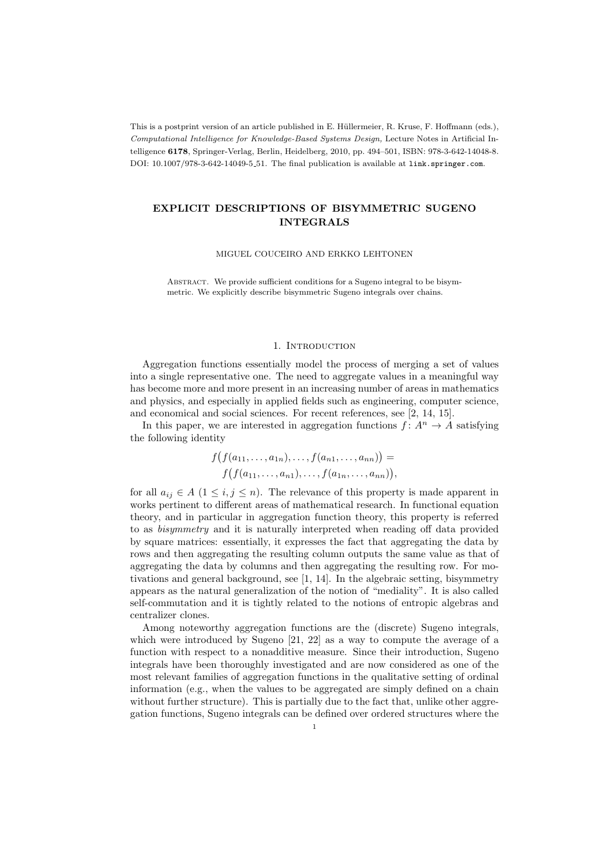This is a postprint version of an article published in E. Hüllermeier, R. Kruse, F. Hoffmann (eds.), Computational Intelligence for Knowledge-Based Systems Design, Lecture Notes in Artificial Intelligence 6178, Springer-Verlag, Berlin, Heidelberg, 2010, pp. 494–501, ISBN: 978-3-642-14048-8. DOI: 10.1007/978-3-642-14049-5 51. The final publication is available at link.springer.com.

# EXPLICIT DESCRIPTIONS OF BISYMMETRIC SUGENO INTEGRALS

MIGUEL COUCEIRO AND ERKKO LEHTONEN

Abstract. We provide sufficient conditions for a Sugeno integral to be bisymmetric. We explicitly describe bisymmetric Sugeno integrals over chains.

### 1. INTRODUCTION

Aggregation functions essentially model the process of merging a set of values into a single representative one. The need to aggregate values in a meaningful way has become more and more present in an increasing number of areas in mathematics and physics, and especially in applied fields such as engineering, computer science, and economical and social sciences. For recent references, see [2, 14, 15].

In this paper, we are interested in aggregation functions  $f: A^n \to A$  satisfying the following identity

$$
f(f(a_{11},...,a_{1n}),...,f(a_{n1},...,a_{nn})) =
$$

$$
f(f(a_{11},...,a_{n1}),...,f(a_{1n},...,a_{nn})),
$$

for all  $a_{ij} \in A$  ( $1 \le i, j \le n$ ). The relevance of this property is made apparent in works pertinent to different areas of mathematical research. In functional equation theory, and in particular in aggregation function theory, this property is referred to as bisymmetry and it is naturally interpreted when reading off data provided by square matrices: essentially, it expresses the fact that aggregating the data by rows and then aggregating the resulting column outputs the same value as that of aggregating the data by columns and then aggregating the resulting row. For motivations and general background, see [1, 14]. In the algebraic setting, bisymmetry appears as the natural generalization of the notion of "mediality". It is also called self-commutation and it is tightly related to the notions of entropic algebras and centralizer clones.

Among noteworthy aggregation functions are the (discrete) Sugeno integrals, which were introduced by Sugeno [21, 22] as a way to compute the average of a function with respect to a nonadditive measure. Since their introduction, Sugeno integrals have been thoroughly investigated and are now considered as one of the most relevant families of aggregation functions in the qualitative setting of ordinal information (e.g., when the values to be aggregated are simply defined on a chain without further structure). This is partially due to the fact that, unlike other aggregation functions, Sugeno integrals can be defined over ordered structures where the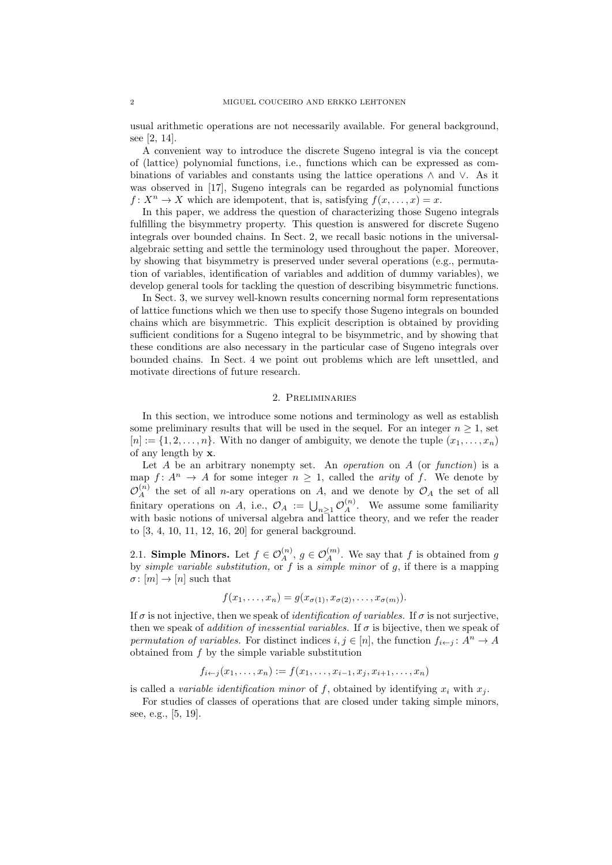usual arithmetic operations are not necessarily available. For general background, see [2, 14].

A convenient way to introduce the discrete Sugeno integral is via the concept of (lattice) polynomial functions, i.e., functions which can be expressed as combinations of variables and constants using the lattice operations ∧ and ∨. As it was observed in [17], Sugeno integrals can be regarded as polynomial functions  $f: X^n \to X$  which are idempotent, that is, satisfying  $f(x, \ldots, x) = x$ .

In this paper, we address the question of characterizing those Sugeno integrals fulfilling the bisymmetry property. This question is answered for discrete Sugeno integrals over bounded chains. In Sect. 2, we recall basic notions in the universalalgebraic setting and settle the terminology used throughout the paper. Moreover, by showing that bisymmetry is preserved under several operations (e.g., permutation of variables, identification of variables and addition of dummy variables), we develop general tools for tackling the question of describing bisymmetric functions.

In Sect. 3, we survey well-known results concerning normal form representations of lattice functions which we then use to specify those Sugeno integrals on bounded chains which are bisymmetric. This explicit description is obtained by providing sufficient conditions for a Sugeno integral to be bisymmetric, and by showing that these conditions are also necessary in the particular case of Sugeno integrals over bounded chains. In Sect. 4 we point out problems which are left unsettled, and motivate directions of future research.

#### 2. Preliminaries

In this section, we introduce some notions and terminology as well as establish some preliminary results that will be used in the sequel. For an integer  $n \geq 1$ , set  $[n] := \{1, 2, \ldots, n\}$ . With no danger of ambiguity, we denote the tuple  $(x_1, \ldots, x_n)$ of any length by x.

Let  $A$  be an arbitrary nonempty set. An *operation* on  $A$  (or function) is a map  $f: A^n \to A$  for some integer  $n \geq 1$ , called the *arity* of f. We denote by  $\mathcal{O}_A^{(n)}$  the set of all *n*-ary operations on A, and we denote by  $\mathcal{O}_A$  the set of all finitary operations on A, i.e.,  $\mathcal{O}_A := \bigcup_{n \geq 1} \mathcal{O}_A^{(n)}$ . We assume some familiarity with basic notions of universal algebra and lattice theory, and we refer the reader to [3, 4, 10, 11, 12, 16, 20] for general background.

2.1. **Simple Minors.** Let  $f \in \mathcal{O}_A^{(n)}$ ,  $g \in \mathcal{O}_A^{(m)}$ . We say that f is obtained from g by *simple variable substitution*, or  $f$  is a *simple minor* of  $g$ , if there is a mapping  $\sigma: [m] \to [n]$  such that

$$
f(x_1,\ldots,x_n)=g(x_{\sigma(1)},x_{\sigma(2)},\ldots,x_{\sigma(m)}).
$$

If  $\sigma$  is not injective, then we speak of *identification of variables*. If  $\sigma$  is not surjective, then we speak of *addition of inessential variables*. If  $\sigma$  is bijective, then we speak of permutation of variables. For distinct indices  $i, j \in [n]$ , the function  $f_{i \leftarrow j} : A^n \to A$ obtained from f by the simple variable substitution

$$
f_{i \leftarrow j}(x_1, \dots, x_n) := f(x_1, \dots, x_{i-1}, x_j, x_{i+1}, \dots, x_n)
$$

is called a variable identification minor of f, obtained by identifying  $x_i$  with  $x_j$ .

For studies of classes of operations that are closed under taking simple minors, see, e.g., [5, 19].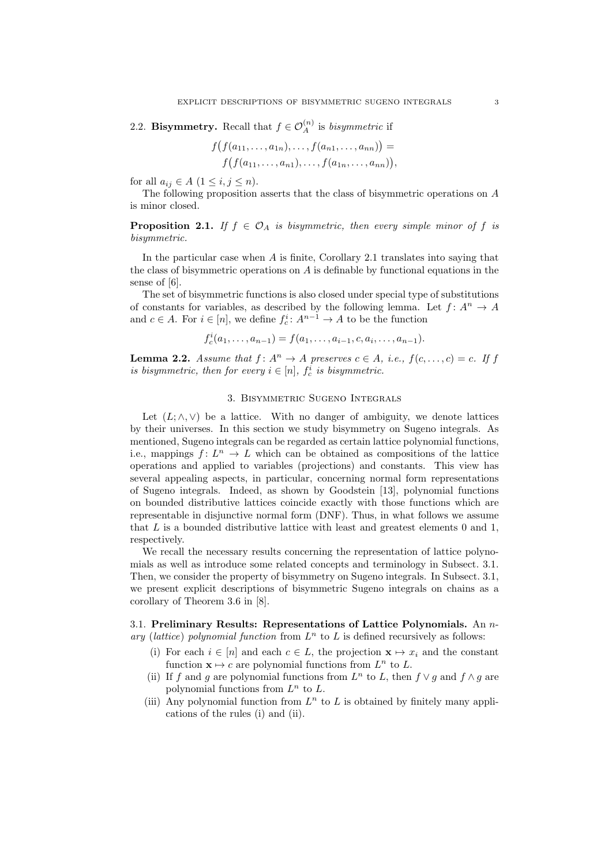2.2. Bisymmetry. Recall that  $f \in \mathcal{O}_A^{(n)}$  is bisymmetric if

$$
f(f(a_{11},...,a_{1n}),...,f(a_{n1},...,a_{nn})) =
$$
  

$$
f(f(a_{11},...,a_{n1}),...,f(a_{1n},...,a_{nn})),
$$

for all  $a_{ij} \in A$   $(1 \le i, j \le n)$ .

The following proposition asserts that the class of bisymmetric operations on A is minor closed.

**Proposition 2.1.** If  $f \in \mathcal{O}_A$  is bisymmetric, then every simple minor of f is bisymmetric.

In the particular case when  $A$  is finite, Corollary 2.1 translates into saying that the class of bisymmetric operations on  $A$  is definable by functional equations in the sense of [6].

The set of bisymmetric functions is also closed under special type of substitutions of constants for variables, as described by the following lemma. Let  $f: A^n \to A$ and  $c \in A$ . For  $i \in [n]$ , we define  $f_c^i: A^{n-1} \to A$  to be the function

 $f_c^i(a_1,\ldots,a_{n-1})=f(a_1,\ldots,a_{i-1},c,a_i,\ldots,a_{n-1}).$ 

**Lemma 2.2.** Assume that  $f: A^n \to A$  preserves  $c \in A$ , i.e.,  $f(c, \ldots, c) = c$ . If  $f$ is bisymmetric, then for every  $i \in [n]$ ,  $f_c^i$  is bisymmetric.

# 3. Bisymmetric Sugeno Integrals

Let  $(L; \wedge, \vee)$  be a lattice. With no danger of ambiguity, we denote lattices by their universes. In this section we study bisymmetry on Sugeno integrals. As mentioned, Sugeno integrals can be regarded as certain lattice polynomial functions, i.e., mappings  $f: L^n \to L$  which can be obtained as compositions of the lattice operations and applied to variables (projections) and constants. This view has several appealing aspects, in particular, concerning normal form representations of Sugeno integrals. Indeed, as shown by Goodstein [13], polynomial functions on bounded distributive lattices coincide exactly with those functions which are representable in disjunctive normal form (DNF). Thus, in what follows we assume that L is a bounded distributive lattice with least and greatest elements 0 and 1, respectively.

We recall the necessary results concerning the representation of lattice polynomials as well as introduce some related concepts and terminology in Subsect. 3.1. Then, we consider the property of bisymmetry on Sugeno integrals. In Subsect. 3.1, we present explicit descriptions of bisymmetric Sugeno integrals on chains as a corollary of Theorem 3.6 in [8].

3.1. Preliminary Results: Representations of Lattice Polynomials. An  $n$ ary (lattice) polynomial function from  $L^n$  to L is defined recursively as follows:

- (i) For each  $i \in [n]$  and each  $c \in L$ , the projection  $\mathbf{x} \mapsto x_i$  and the constant function  $\mathbf{x} \mapsto c$  are polynomial functions from  $L^n$  to L.
- (ii) If f and g are polynomial functions from  $L^n$  to L, then  $f \vee g$  and  $f \wedge g$  are polynomial functions from  $L^n$  to  $L$ .
- (iii) Any polynomial function from  $L^n$  to L is obtained by finitely many applications of the rules (i) and (ii).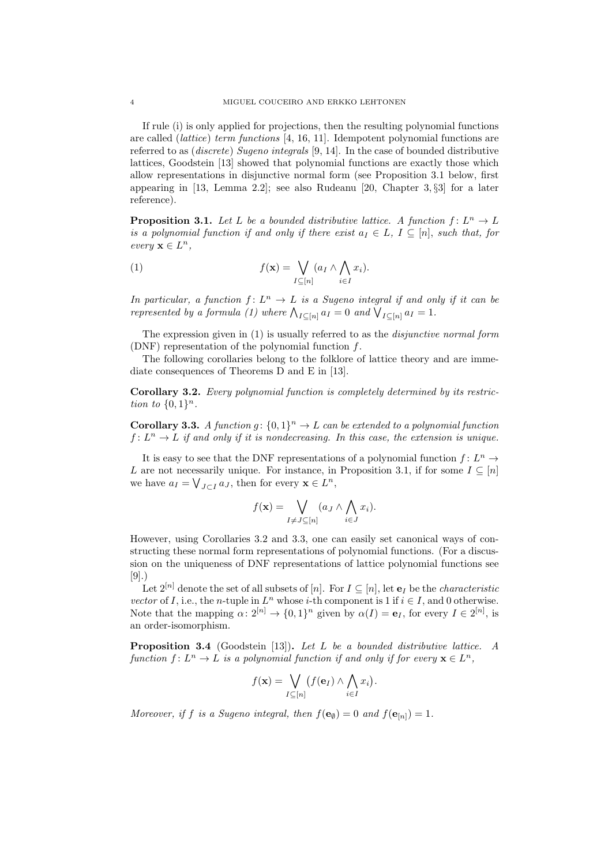If rule (i) is only applied for projections, then the resulting polynomial functions are called (lattice) term functions [4, 16, 11]. Idempotent polynomial functions are referred to as (discrete) Sugeno integrals [9, 14]. In the case of bounded distributive lattices, Goodstein [13] showed that polynomial functions are exactly those which allow representations in disjunctive normal form (see Proposition 3.1 below, first appearing in [13, Lemma 2.2]; see also Rudeanu [20, Chapter 3, §3] for a later reference).

**Proposition 3.1.** Let L be a bounded distributive lattice. A function  $f: L^n \to L$ is a polynomial function if and only if there exist  $a_I \in L$ ,  $I \subseteq [n]$ , such that, for every  $\mathbf{x} \in L^n$ ,

(1) 
$$
f(\mathbf{x}) = \bigvee_{I \subseteq [n]} (a_I \wedge \bigwedge_{i \in I} x_i).
$$

In particular, a function  $f: L^n \to L$  is a Sugeno integral if and only if it can be represented by a formula (1) where  $\bigwedge_{I \subseteq [n]} a_I = 0$  and  $\bigvee_{I \subseteq [n]} a_I = 1$ .

The expression given in (1) is usually referred to as the disjunctive normal form (DNF) representation of the polynomial function f.

The following corollaries belong to the folklore of lattice theory and are immediate consequences of Theorems D and E in [13].

Corollary 3.2. Every polynomial function is completely determined by its restriction to  $\{0,1\}^n$ .

**Corollary 3.3.** A function  $g: \{0,1\}^n \to L$  can be extended to a polynomial function  $f: L^n \to L$  if and only if it is nondecreasing. In this case, the extension is unique.

It is easy to see that the DNF representations of a polynomial function  $f: L^n \to$ L are not necessarily unique. For instance, in Proposition 3.1, if for some  $I \subseteq [n]$ we have  $a_I = \bigvee_{J \subset I} a_J$ , then for every  $\mathbf{x} \in L^n$ ,

$$
f(\mathbf{x}) = \bigvee_{I \neq J \subseteq [n]} (a_J \wedge \bigwedge_{i \in J} x_i).
$$

However, using Corollaries 3.2 and 3.3, one can easily set canonical ways of constructing these normal form representations of polynomial functions. (For a discussion on the uniqueness of DNF representations of lattice polynomial functions see [9].)

Let  $2^{[n]}$  denote the set of all subsets of [n]. For  $I \subseteq [n]$ , let  $e_I$  be the *characteristic* vector of I, i.e., the n-tuple in  $L^n$  whose i-th component is 1 if  $i \in I$ , and 0 otherwise. Note that the mapping  $\alpha: 2^{[n]} \to \{0,1\}^n$  given by  $\alpha(I) = e_I$ , for every  $I \in 2^{[n]}$ , is an order-isomorphism.

Proposition 3.4 (Goodstein [13]). Let L be a bounded distributive lattice. A function  $f: L^n \to L$  is a polynomial function if and only if for every  $\mathbf{x} \in L^n$ ,

$$
f(\mathbf{x}) = \bigvee_{I \subseteq [n]} (f(\mathbf{e}_I) \wedge \bigwedge_{i \in I} x_i).
$$

Moreover, if f is a Sugeno integral, then  $f(\mathbf{e}_{\emptyset}) = 0$  and  $f(\mathbf{e}_{[n]}) = 1$ .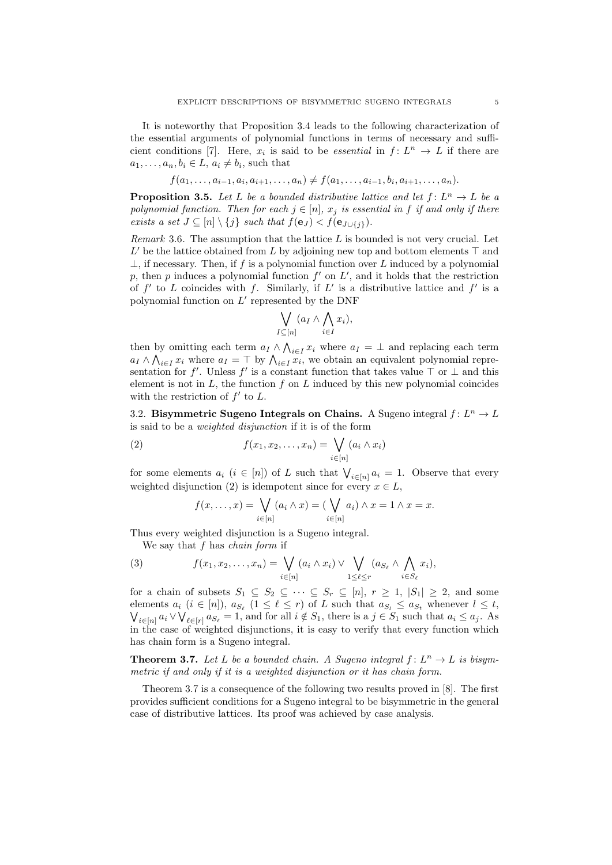It is noteworthy that Proposition 3.4 leads to the following characterization of the essential arguments of polynomial functions in terms of necessary and sufficient conditions [7]. Here,  $x_i$  is said to be *essential* in  $f: L^n \to L$  if there are  $a_1, \ldots, a_n, b_i \in L, a_i \neq b_i$ , such that

$$
f(a_1, \ldots, a_{i-1}, a_i, a_{i+1}, \ldots, a_n) \neq f(a_1, \ldots, a_{i-1}, b_i, a_{i+1}, \ldots, a_n).
$$

**Proposition 3.5.** Let L be a bounded distributive lattice and let  $f: L^n \to L$  be a polynomial function. Then for each  $j \in [n]$ ,  $x_j$  is essential in f if and only if there exists a set  $J \subseteq [n] \setminus \{j\}$  such that  $f(\mathbf{e}_J) < f(\mathbf{e}_{J \cup \{j\}})$ .

Remark 3.6. The assumption that the lattice  $L$  is bounded is not very crucial. Let  $L'$  be the lattice obtained from L by adjoining new top and bottom elements  $\top$  and  $\perp$ , if necessary. Then, if f is a polynomial function over L induced by a polynomial p, then p induces a polynomial function  $f'$  on  $L'$ , and it holds that the restriction of  $f'$  to L coincides with f. Similarly, if L' is a distributive lattice and  $f'$  is a polynomial function on  $L'$  represented by the DNF

$$
\bigvee_{I \subseteq [n]} (a_I \wedge \bigwedge_{i \in I} x_i),
$$

then by omitting each term  $a_I \wedge \bigwedge_{i \in I} x_i$  where  $a_I = \perp$  and replacing each term  $a_I \wedge \bigwedge_{i \in I} x_i$  where  $a_I = \top$  by  $\bigwedge_{i \in I} x_i$ , we obtain an equivalent polynomial representation for f'. Unless f' is a constant function that takes value  $\top$  or  $\bot$  and this element is not in  $L$ , the function  $f$  on  $L$  induced by this new polynomial coincides with the restriction of  $f'$  to  $L$ .

3.2. Bisymmetric Sugeno Integrals on Chains. A Sugeno integral  $f: L^n \to L$ is said to be a weighted disjunction if it is of the form

(2) 
$$
f(x_1, x_2, \dots, x_n) = \bigvee_{i \in [n]} (a_i \wedge x_i)
$$

for some elements  $a_i$   $(i \in [n])$  of L such that  $\bigvee_{i \in [n]} a_i = 1$ . Observe that every weighted disjunction (2) is idempotent since for every  $x \in L$ ,

$$
f(x,\ldots,x) = \bigvee_{i \in [n]} (a_i \wedge x) = (\bigvee_{i \in [n]} a_i) \wedge x = 1 \wedge x = x.
$$

Thus every weighted disjunction is a Sugeno integral.

We say that  $f$  has *chain form* if

(3) 
$$
f(x_1, x_2,..., x_n) = \bigvee_{i \in [n]} (a_i \wedge x_i) \vee \bigvee_{1 \leq \ell \leq r} (a_{S_{\ell}} \wedge \bigwedge_{i \in S_{\ell}} x_i),
$$

for a chain of subsets  $S_1 \subseteq S_2 \subseteq \cdots \subseteq S_r \subseteq [n], r \ge 1, |S_1| \ge 2$ , and some elements  $a_i$   $(i \in [n])$ ,  $a_{S_\ell}$   $(1 \leq \ell \leq r)$  of L such that  $a_{S_l} \leq a_{S_t}$  whenever  $l \leq t$ ,  $\bigvee_{i\in[n]}a_i\vee\bigvee_{\ell\in[r]}a_{S_{\ell}}=1$ , and for all  $i\notin S_1$ , there is a  $j\in S_1$  such that  $a_i\leq a_j$ . As in the case of weighted disjunctions, it is easy to verify that every function which has chain form is a Sugeno integral.

**Theorem 3.7.** Let L be a bounded chain. A Sugeno integral  $f: L^n \to L$  is bisymmetric if and only if it is a weighted disjunction or it has chain form.

Theorem 3.7 is a consequence of the following two results proved in [8]. The first provides sufficient conditions for a Sugeno integral to be bisymmetric in the general case of distributive lattices. Its proof was achieved by case analysis.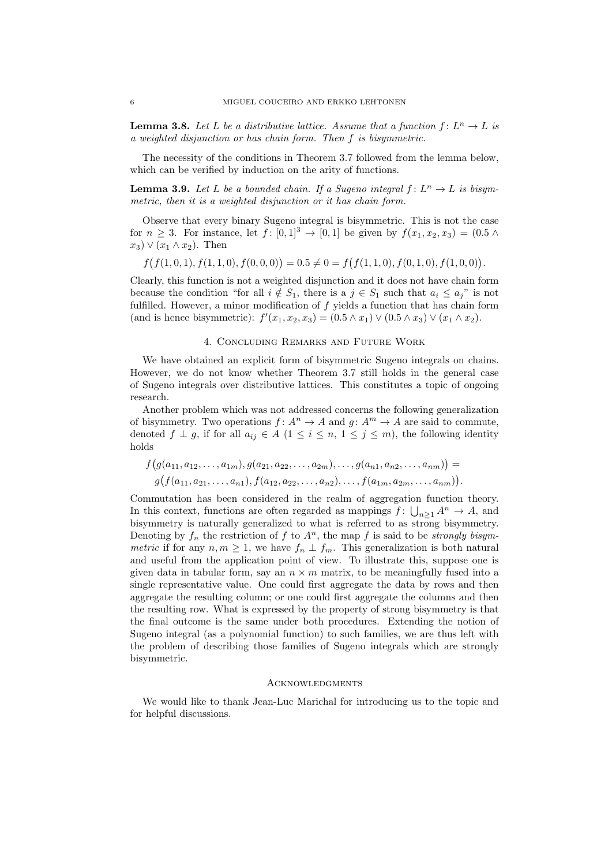**Lemma 3.8.** Let L be a distributive lattice. Assume that a function  $f: L^n \to L$  is a weighted disjunction or has chain form. Then f is bisymmetric.

The necessity of the conditions in Theorem 3.7 followed from the lemma below, which can be verified by induction on the arity of functions.

**Lemma 3.9.** Let L be a bounded chain. If a Sugeno integral  $f: L^n \to L$  is bisymmetric, then it is a weighted disjunction or it has chain form.

Observe that every binary Sugeno integral is bisymmetric. This is not the case for  $n \ge 3$ . For instance, let  $f : [0,1]^3 \to [0,1]$  be given by  $f(x_1, x_2, x_3) = (0.5 \land$  $(x_3) \vee (x_1 \wedge x_2)$ . Then

 $f(f(1,0,1), f(1,1,0), f(0,0,0)) = 0.5 \neq 0 = f(f(1,1,0), f(0,1,0), f(1,0,0)).$ 

Clearly, this function is not a weighted disjunction and it does not have chain form because the condition "for all  $i \notin S_1$ , there is a  $j \in S_1$  such that  $a_i \leq a_j$ " is not fulfilled. However, a minor modification of  $f$  yields a function that has chain form (and is hence bisymmetric):  $f'(x_1, x_2, x_3) = (0.5 \wedge x_1) \vee (0.5 \wedge x_3) \vee (x_1 \wedge x_2).$ 

## 4. Concluding Remarks and Future Work

We have obtained an explicit form of bisymmetric Sugeno integrals on chains. However, we do not know whether Theorem 3.7 still holds in the general case of Sugeno integrals over distributive lattices. This constitutes a topic of ongoing research.

Another problem which was not addressed concerns the following generalization of bisymmetry. Two operations  $f: A^n \to A$  and  $g: A^m \to A$  are said to commute, denoted f  $\perp$  g, if for all  $a_{ij} \in A$  ( $1 \le i \le n, 1 \le j \le m$ ), the following identity holds

$$
f(g(a_{11}, a_{12},..., a_{1m}), g(a_{21}, a_{22},..., a_{2m}),..., g(a_{n1}, a_{n2},..., a_{nm})) =
$$
  

$$
g(f(a_{11}, a_{21},..., a_{n1}), f(a_{12}, a_{22},..., a_{n2}),..., f(a_{1m}, a_{2m},..., a_{nm})).
$$

Commutation has been considered in the realm of aggregation function theory. In this context, functions are often regarded as mappings  $f: \bigcup_{n\geq 1} A^n \to A$ , and bisymmetry is naturally generalized to what is referred to as strong bisymmetry. Denoting by  $f_n$  the restriction of f to  $A^n$ , the map f is said to be *strongly bisym*metric if for any  $n, m \geq 1$ , we have  $f_n \perp f_m$ . This generalization is both natural and useful from the application point of view. To illustrate this, suppose one is given data in tabular form, say an  $n \times m$  matrix, to be meaningfully fused into a single representative value. One could first aggregate the data by rows and then aggregate the resulting column; or one could first aggregate the columns and then the resulting row. What is expressed by the property of strong bisymmetry is that the final outcome is the same under both procedures. Extending the notion of Sugeno integral (as a polynomial function) to such families, we are thus left with the problem of describing those families of Sugeno integrals which are strongly bisymmetric.

### **ACKNOWLEDGMENTS**

We would like to thank Jean-Luc Marichal for introducing us to the topic and for helpful discussions.